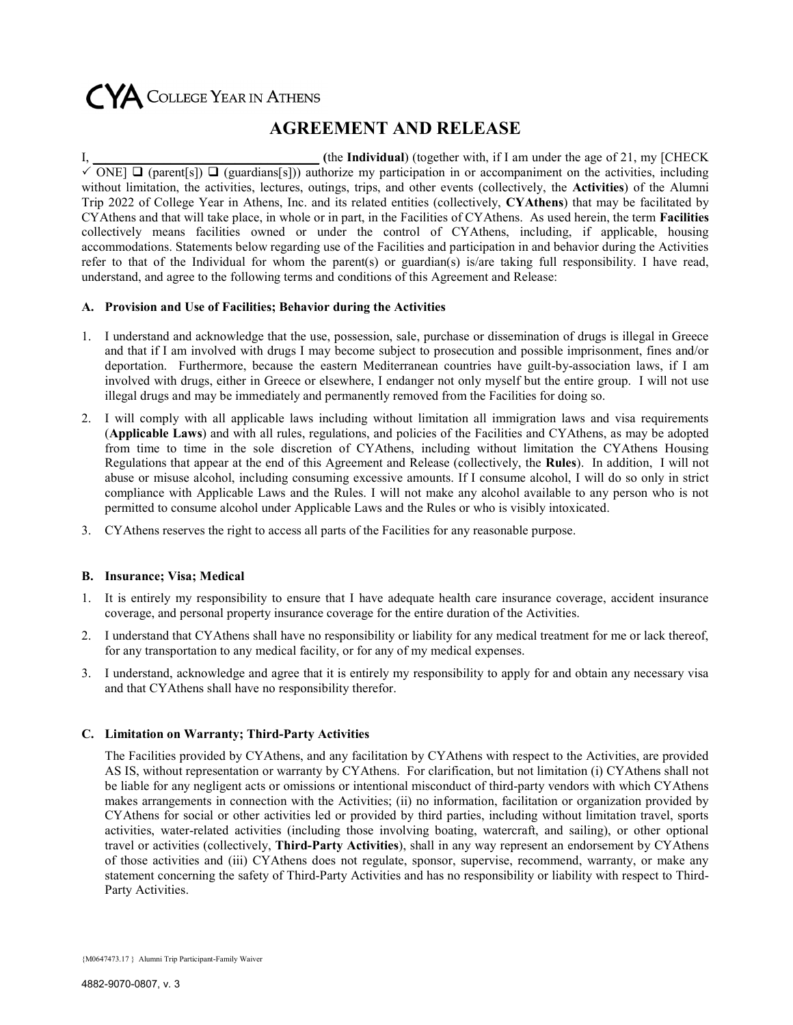# CYA COLLEGE YEAR IN ATHENS

### AGREEMENT AND RELEASE

If the Individual) (together with, if I am under the age of 21, my [CHECK] ONE]  $\Box$  (parent[s])  $\Box$  (guardians[s])) authorize my participation in or accompaniment on the activities, including without limitation, the activities, lectures, outings, trips, and other events (collectively, the **Activities**) of the Alumni Trip 2022 of College Year in Athens, Inc. and its related entities (collectively, CYAthens) that may be facilitated by CYAthens and that will take place, in whole or in part, in the Facilities of CYAthens. As used herein, the term Facilities collectively means facilities owned or under the control of CYAthens, including, if applicable, housing accommodations. Statements below regarding use of the Facilities and participation in and behavior during the Activities refer to that of the Individual for whom the parent(s) or guardian(s) is/are taking full responsibility. I have read, understand, and agree to the following terms and conditions of this Agreement and Release:

#### A. Provision and Use of Facilities; Behavior during the Activities

- 1. I understand and acknowledge that the use, possession, sale, purchase or dissemination of drugs is illegal in Greece and that if I am involved with drugs I may become subject to prosecution and possible imprisonment, fines and/or deportation. Furthermore, because the eastern Mediterranean countries have guilt-by-association laws, if I am involved with drugs, either in Greece or elsewhere, I endanger not only myself but the entire group. I will not use illegal drugs and may be immediately and permanently removed from the Facilities for doing so.
- 2. I will comply with all applicable laws including without limitation all immigration laws and visa requirements (Applicable Laws) and with all rules, regulations, and policies of the Facilities and CYAthens, as may be adopted from time to time in the sole discretion of CYAthens, including without limitation the CYAthens Housing Regulations that appear at the end of this Agreement and Release (collectively, the Rules). In addition, I will not abuse or misuse alcohol, including consuming excessive amounts. If I consume alcohol, I will do so only in strict compliance with Applicable Laws and the Rules. I will not make any alcohol available to any person who is not permitted to consume alcohol under Applicable Laws and the Rules or who is visibly intoxicated.
- 3. CYAthens reserves the right to access all parts of the Facilities for any reasonable purpose.

#### B. Insurance; Visa; Medical

- 1. It is entirely my responsibility to ensure that I have adequate health care insurance coverage, accident insurance coverage, and personal property insurance coverage for the entire duration of the Activities.
- 2. I understand that CYAthens shall have no responsibility or liability for any medical treatment for me or lack thereof, for any transportation to any medical facility, or for any of my medical expenses.
- 3. I understand, acknowledge and agree that it is entirely my responsibility to apply for and obtain any necessary visa and that CYAthens shall have no responsibility therefor.

#### C. Limitation on Warranty; Third-Party Activities

The Facilities provided by CYAthens, and any facilitation by CYAthens with respect to the Activities, are provided AS IS, without representation or warranty by CYAthens. For clarification, but not limitation (i) CYAthens shall not be liable for any negligent acts or omissions or intentional misconduct of third-party vendors with which CYAthens makes arrangements in connection with the Activities; (ii) no information, facilitation or organization provided by CYAthens for social or other activities led or provided by third parties, including without limitation travel, sports activities, water-related activities (including those involving boating, watercraft, and sailing), or other optional travel or activities (collectively, Third-Party Activities), shall in any way represent an endorsement by CYAthens of those activities and (iii) CYAthens does not regulate, sponsor, supervise, recommend, warranty, or make any statement concerning the safety of Third-Party Activities and has no responsibility or liability with respect to Third-Party Activities.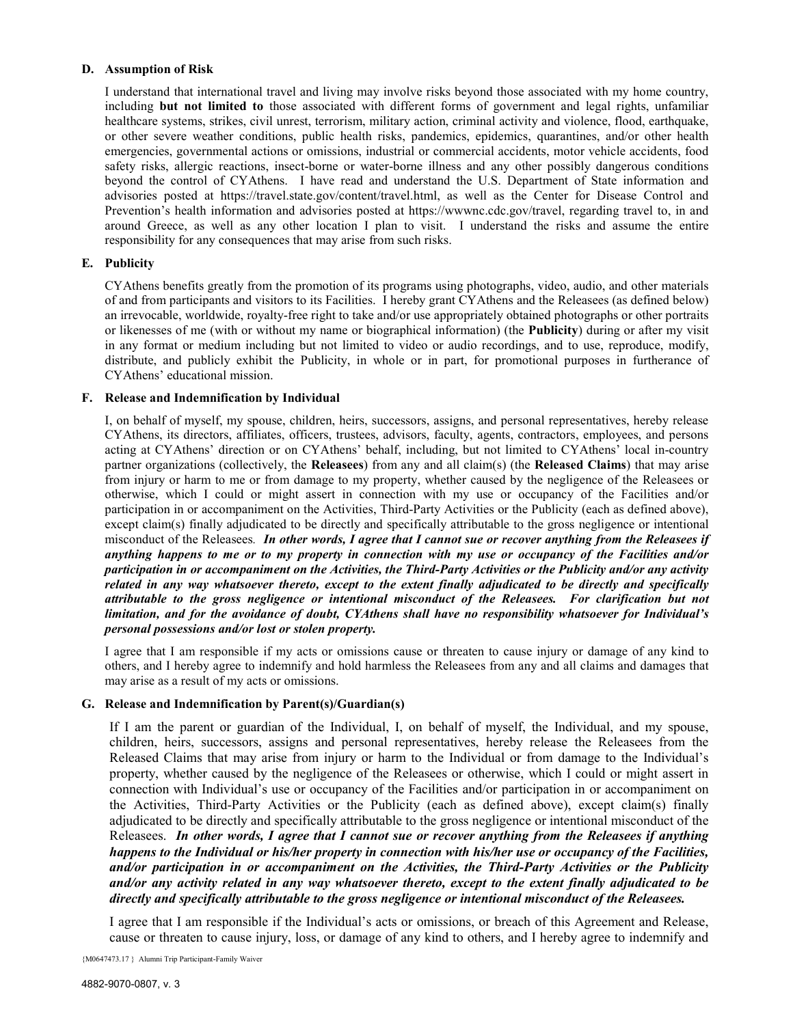#### D. Assumption of Risk

I understand that international travel and living may involve risks beyond those associated with my home country, including but not limited to those associated with different forms of government and legal rights, unfamiliar healthcare systems, strikes, civil unrest, terrorism, military action, criminal activity and violence, flood, earthquake, or other severe weather conditions, public health risks, pandemics, epidemics, quarantines, and/or other health emergencies, governmental actions or omissions, industrial or commercial accidents, motor vehicle accidents, food safety risks, allergic reactions, insect-borne or water-borne illness and any other possibly dangerous conditions beyond the control of CYAthens. I have read and understand the U.S. Department of State information and advisories posted at https://travel.state.gov/content/travel.html, as well as the Center for Disease Control and Prevention's health information and advisories posted at https://wwwnc.cdc.gov/travel, regarding travel to, in and around Greece, as well as any other location I plan to visit. I understand the risks and assume the entire responsibility for any consequences that may arise from such risks.

#### E. Publicity

CYAthens benefits greatly from the promotion of its programs using photographs, video, audio, and other materials of and from participants and visitors to its Facilities. I hereby grant CYAthens and the Releasees (as defined below) an irrevocable, worldwide, royalty-free right to take and/or use appropriately obtained photographs or other portraits or likenesses of me (with or without my name or biographical information) (the Publicity) during or after my visit in any format or medium including but not limited to video or audio recordings, and to use, reproduce, modify, distribute, and publicly exhibit the Publicity, in whole or in part, for promotional purposes in furtherance of CYAthens' educational mission.

#### F. Release and Indemnification by Individual

I, on behalf of myself, my spouse, children, heirs, successors, assigns, and personal representatives, hereby release CYAthens, its directors, affiliates, officers, trustees, advisors, faculty, agents, contractors, employees, and persons acting at CYAthens' direction or on CYAthens' behalf, including, but not limited to CYAthens' local in-country partner organizations (collectively, the Releasees) from any and all claim(s) (the Released Claims) that may arise from injury or harm to me or from damage to my property, whether caused by the negligence of the Releasees or otherwise, which I could or might assert in connection with my use or occupancy of the Facilities and/or participation in or accompaniment on the Activities, Third-Party Activities or the Publicity (each as defined above), except claim(s) finally adjudicated to be directly and specifically attributable to the gross negligence or intentional misconduct of the Releasees. In other words, I agree that I cannot sue or recover anything from the Releasees if anything happens to me or to my property in connection with my use or occupancy of the Facilities and/or participation in or accompaniment on the Activities, the Third-Party Activities or the Publicity and/or any activity related in any way whatsoever thereto, except to the extent finally adjudicated to be directly and specifically attributable to the gross negligence or intentional misconduct of the Releasees. For clarification but not limitation, and for the avoidance of doubt, CYAthens shall have no responsibility whatsoever for Individual's personal possessions and/or lost or stolen property.

I agree that I am responsible if my acts or omissions cause or threaten to cause injury or damage of any kind to others, and I hereby agree to indemnify and hold harmless the Releasees from any and all claims and damages that may arise as a result of my acts or omissions.

#### G. Release and Indemnification by Parent(s)/Guardian(s)

If I am the parent or guardian of the Individual, I, on behalf of myself, the Individual, and my spouse, children, heirs, successors, assigns and personal representatives, hereby release the Releasees from the Released Claims that may arise from injury or harm to the Individual or from damage to the Individual's property, whether caused by the negligence of the Releasees or otherwise, which I could or might assert in connection with Individual's use or occupancy of the Facilities and/or participation in or accompaniment on the Activities, Third-Party Activities or the Publicity (each as defined above), except claim(s) finally adjudicated to be directly and specifically attributable to the gross negligence or intentional misconduct of the Releasees. In other words, I agree that I cannot sue or recover anything from the Releasees if anything happens to the Individual or his/her property in connection with his/her use or occupancy of the Facilities, and/or participation in or accompaniment on the Activities, the Third-Party Activities or the Publicity and/or any activity related in any way whatsoever thereto, except to the extent finally adjudicated to be directly and specifically attributable to the gross negligence or intentional misconduct of the Releasees.

I agree that I am responsible if the Individual's acts or omissions, or breach of this Agreement and Release, cause or threaten to cause injury, loss, or damage of any kind to others, and I hereby agree to indemnify and

{M0647473.17 } Alumni Trip Participant-Family Waiver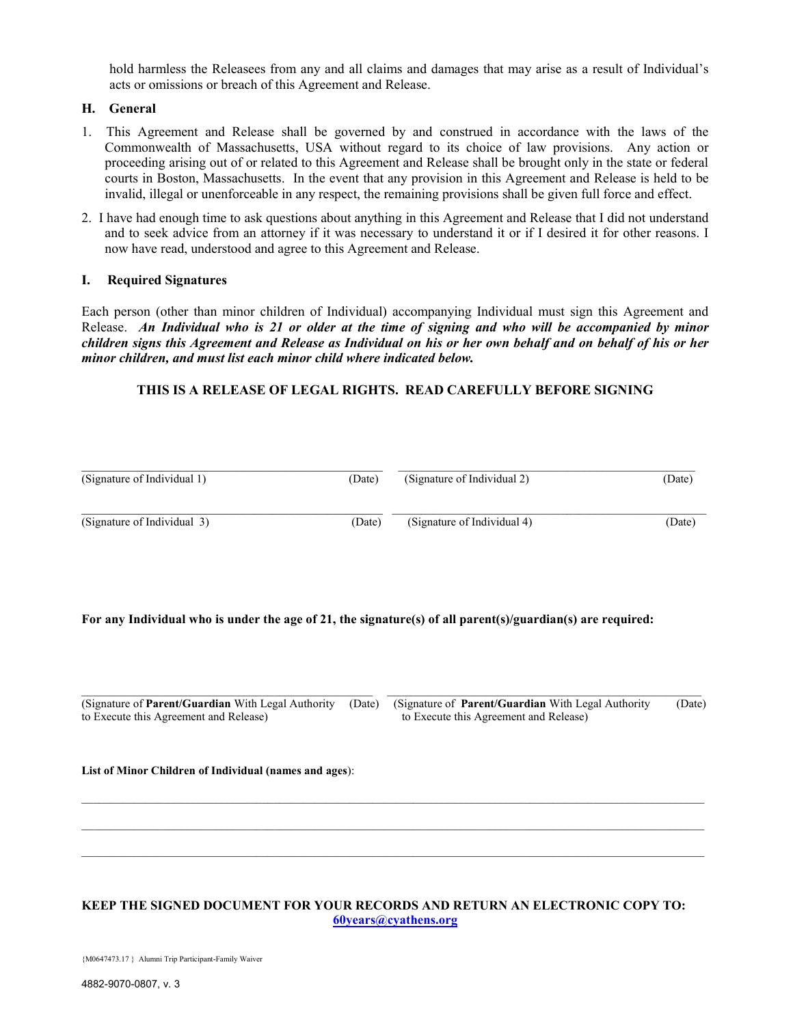hold harmless the Releasees from any and all claims and damages that may arise as a result of Individual's acts or omissions or breach of this Agreement and Release.

#### H. General

- 1. This Agreement and Release shall be governed by and construed in accordance with the laws of the Commonwealth of Massachusetts, USA without regard to its choice of law provisions. Any action or proceeding arising out of or related to this Agreement and Release shall be brought only in the state or federal courts in Boston, Massachusetts. In the event that any provision in this Agreement and Release is held to be invalid, illegal or unenforceable in any respect, the remaining provisions shall be given full force and effect.
- 2. I have had enough time to ask questions about anything in this Agreement and Release that I did not understand and to seek advice from an attorney if it was necessary to understand it or if I desired it for other reasons. I now have read, understood and agree to this Agreement and Release.

#### I. Required Signatures

Each person (other than minor children of Individual) accompanying Individual must sign this Agreement and Release. An Individual who is 21 or older at the time of signing and who will be accompanied by minor children signs this Agreement and Release as Individual on his or her own behalf and on behalf of his or her minor children, and must list each minor child where indicated below.

#### THIS IS A RELEASE OF LEGAL RIGHTS. READ CAREFULLY BEFORE SIGNING

| (Signature of Individual 1) | (Date) | (Signature of Individual 2) | (Date) |
|-----------------------------|--------|-----------------------------|--------|
| (Signature of Individual 3) | (Date) | (Signature of Individual 4) | (Date) |

#### For any Individual who is under the age of 21, the signature(s) of all parent(s)/guardian(s) are required:

(Signature of Parent/Guardian With Legal Authority (Date) (Signature of Parent/Guardian With Legal Authority (Date) to Execute this Agreement and Release) to Execute this Agreement and Release

List of Minor Children of Individual (names and ages):

#### KEEP THE SIGNED DOCUMENT FOR YOUR RECORDS AND RETURN AN ELECTRONIC COPY TO: 60years@cyathens.org

 $\mathcal{L}_\text{max} = \frac{1}{2} \sum_{i=1}^n \mathcal{L}_\text{max} = \frac{1}{2} \sum_{i=1}^n \mathcal{L}_\text{max} = \frac{1}{2} \sum_{i=1}^n \mathcal{L}_\text{max} = \frac{1}{2} \sum_{i=1}^n \mathcal{L}_\text{max} = \frac{1}{2} \sum_{i=1}^n \mathcal{L}_\text{max} = \frac{1}{2} \sum_{i=1}^n \mathcal{L}_\text{max} = \frac{1}{2} \sum_{i=1}^n \mathcal{L}_\text{max} = \frac{1}{2} \sum_{i=$ 

 $\mathcal{L}_\text{max} = \frac{1}{2} \sum_{i=1}^n \mathcal{L}_\text{max} = \frac{1}{2} \sum_{i=1}^n \mathcal{L}_\text{max} = \frac{1}{2} \sum_{i=1}^n \mathcal{L}_\text{max} = \frac{1}{2} \sum_{i=1}^n \mathcal{L}_\text{max} = \frac{1}{2} \sum_{i=1}^n \mathcal{L}_\text{max} = \frac{1}{2} \sum_{i=1}^n \mathcal{L}_\text{max} = \frac{1}{2} \sum_{i=1}^n \mathcal{L}_\text{max} = \frac{1}{2} \sum_{i=$ 

{M0647473.17 } Alumni Trip Participant-Family Waiver